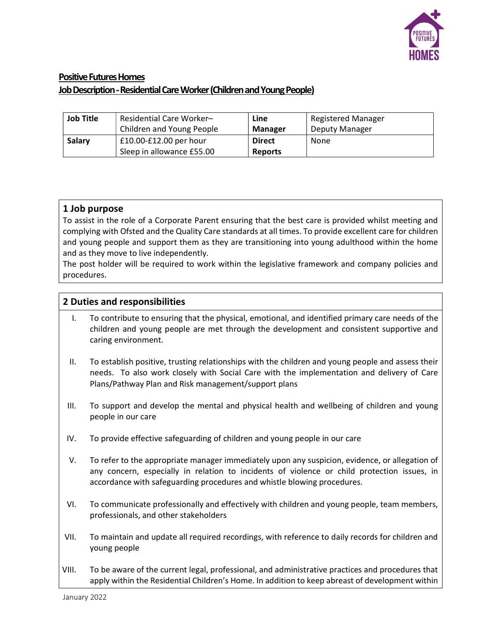

# Positive Futures Homes Job Description - Residential Care Worker (Children and Young People)

| <b>Job Title</b> | Residential Care Worker-  | Line           | <b>Registered Manager</b> |
|------------------|---------------------------|----------------|---------------------------|
|                  | Children and Young People | <b>Manager</b> | Deputy Manager            |
| Salary           | $£10.00-E12.00$ per hour  | <b>Direct</b>  | None                      |
|                  | Sleep in allowance £55.00 | <b>Reports</b> |                           |

### 1 Job purpose

To assist in the role of a Corporate Parent ensuring that the best care is provided whilst meeting and complying with Ofsted and the Quality Care standards at all times. To provide excellent care for children and young people and support them as they are transitioning into young adulthood within the home and as they move to live independently.

The post holder will be required to work within the legislative framework and company policies and procedures.

### 2 Duties and responsibilities

- I. To contribute to ensuring that the physical, emotional, and identified primary care needs of the children and young people are met through the development and consistent supportive and caring environment.
- II. To establish positive, trusting relationships with the children and young people and assess their needs. To also work closely with Social Care with the implementation and delivery of Care Plans/Pathway Plan and Risk management/support plans
- III. To support and develop the mental and physical health and wellbeing of children and young people in our care
- IV. To provide effective safeguarding of children and young people in our care
- V. To refer to the appropriate manager immediately upon any suspicion, evidence, or allegation of any concern, especially in relation to incidents of violence or child protection issues, in accordance with safeguarding procedures and whistle blowing procedures.
- VI. To communicate professionally and effectively with children and young people, team members, professionals, and other stakeholders
- VII. To maintain and update all required recordings, with reference to daily records for children and young people
- VIII. To be aware of the current legal, professional, and administrative practices and procedures that apply within the Residential Children's Home. In addition to keep abreast of development within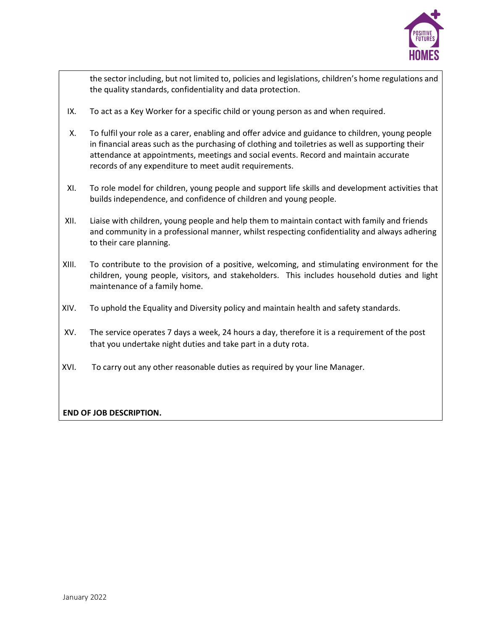

the sector including, but not limited to, policies and legislations, children's home regulations and the quality standards, confidentiality and data protection.

- IX. To act as a Key Worker for a specific child or young person as and when required.
- X. To fulfil your role as a carer, enabling and offer advice and guidance to children, young people in financial areas such as the purchasing of clothing and toiletries as well as supporting their attendance at appointments, meetings and social events. Record and maintain accurate records of any expenditure to meet audit requirements.
- XI. To role model for children, young people and support life skills and development activities that builds independence, and confidence of children and young people.
- XII. Liaise with children, young people and help them to maintain contact with family and friends and community in a professional manner, whilst respecting confidentiality and always adhering to their care planning.
- XIII. To contribute to the provision of a positive, welcoming, and stimulating environment for the children, young people, visitors, and stakeholders. This includes household duties and light maintenance of a family home.
- XIV. To uphold the Equality and Diversity policy and maintain health and safety standards.
- XV. The service operates 7 days a week, 24 hours a day, therefore it is a requirement of the post that you undertake night duties and take part in a duty rota.
- XVI. To carry out any other reasonable duties as required by your line Manager.

#### END OF JOB DESCRIPTION.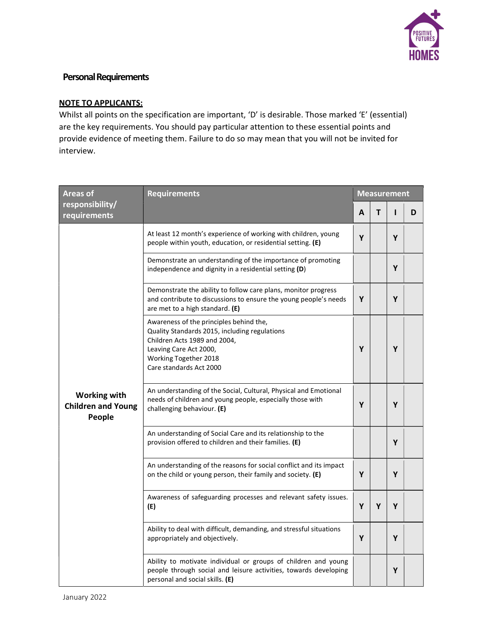

## Personal Requirements

#### NOTE TO APPLICANTS:

Whilst all points on the specification are important, 'D' is desirable. Those marked 'E' (essential) are the key requirements. You should pay particular attention to these essential points and provide evidence of meeting them. Failure to do so may mean that you will not be invited for interview.

| <b>Areas of</b>                                            | <b>Requirements</b>                                                                                                                                                                                    |   | <b>Measurement</b> |   |   |  |
|------------------------------------------------------------|--------------------------------------------------------------------------------------------------------------------------------------------------------------------------------------------------------|---|--------------------|---|---|--|
| responsibility/<br>requirements                            |                                                                                                                                                                                                        |   | т                  |   | D |  |
|                                                            | At least 12 month's experience of working with children, young<br>people within youth, education, or residential setting. (E)                                                                          | Υ |                    | Υ |   |  |
|                                                            | Demonstrate an understanding of the importance of promoting<br>independence and dignity in a residential setting (D)                                                                                   |   |                    | Υ |   |  |
|                                                            | Demonstrate the ability to follow care plans, monitor progress<br>and contribute to discussions to ensure the young people's needs<br>are met to a high standard. (E)                                  | Y |                    | Y |   |  |
|                                                            | Awareness of the principles behind the,<br>Quality Standards 2015, including regulations<br>Children Acts 1989 and 2004,<br>Leaving Care Act 2000,<br>Working Together 2018<br>Care standards Act 2000 | Υ |                    | Υ |   |  |
| <b>Working with</b><br><b>Children and Young</b><br>People | An understanding of the Social, Cultural, Physical and Emotional<br>needs of children and young people, especially those with<br>challenging behaviour. (E)                                            | Υ |                    | Υ |   |  |
|                                                            | An understanding of Social Care and its relationship to the<br>provision offered to children and their families. (E)                                                                                   |   |                    | Y |   |  |
|                                                            | An understanding of the reasons for social conflict and its impact<br>on the child or young person, their family and society. (E)                                                                      | Υ |                    | Υ |   |  |
|                                                            | Awareness of safeguarding processes and relevant safety issues.<br>(E)                                                                                                                                 | Υ | Υ                  | Υ |   |  |
|                                                            | Ability to deal with difficult, demanding, and stressful situations<br>appropriately and objectively.                                                                                                  | Υ |                    | Υ |   |  |
|                                                            | Ability to motivate individual or groups of children and young<br>people through social and leisure activities, towards developing<br>personal and social skills. (E)                                  |   |                    | Υ |   |  |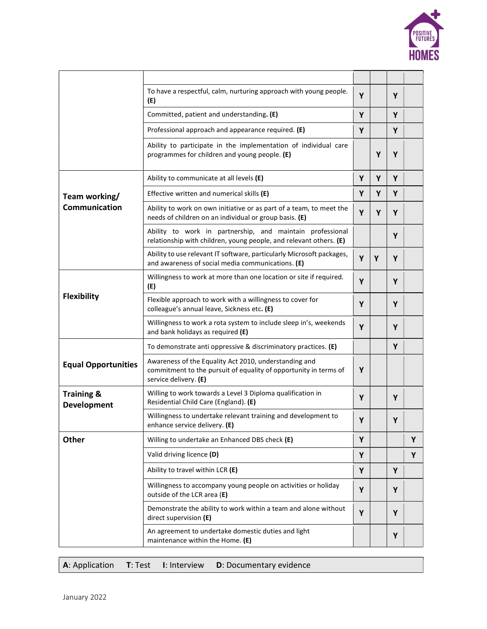

|                                      | To have a respectful, calm, nurturing approach with young people.<br>(E)                                                                           | Y |   | Y |   |
|--------------------------------------|----------------------------------------------------------------------------------------------------------------------------------------------------|---|---|---|---|
|                                      | Committed, patient and understanding. (E)                                                                                                          | Y |   | Y |   |
|                                      | Professional approach and appearance required. (E)                                                                                                 |   |   | Y |   |
|                                      | Ability to participate in the implementation of individual care<br>programmes for children and young people. (E)                                   |   | Y | Y |   |
|                                      | Ability to communicate at all levels (E)                                                                                                           | Y | Y | Y |   |
| Team working/                        | Effective written and numerical skills (E)                                                                                                         | Y | Υ | Y |   |
| Communication                        | Ability to work on own initiative or as part of a team, to meet the<br>needs of children on an individual or group basis. (E)                      | Y | Υ | Y |   |
|                                      | Ability to work in partnership, and maintain professional<br>relationship with children, young people, and relevant others. (E)                    |   |   | Y |   |
|                                      | Ability to use relevant IT software, particularly Microsoft packages,<br>and awareness of social media communications. (E)                         | Y | Υ | Y |   |
| <b>Flexibility</b>                   | Willingness to work at more than one location or site if required.<br>(E)                                                                          | Y |   | Y |   |
|                                      | Flexible approach to work with a willingness to cover for<br>colleague's annual leave, Sickness etc. (E)                                           | Y |   | Y |   |
|                                      | Willingness to work a rota system to include sleep in's, weekends<br>and bank holidays as required (E)                                             | Y |   | Y |   |
|                                      | To demonstrate anti oppressive & discriminatory practices. (E)                                                                                     |   |   | Y |   |
| <b>Equal Opportunities</b>           | Awareness of the Equality Act 2010, understanding and<br>commitment to the pursuit of equality of opportunity in terms of<br>service delivery. (E) | Y |   |   |   |
| <b>Training &amp;</b><br>Development | Willing to work towards a Level 3 Diploma qualification in<br>Residential Child Care (England). (E)                                                | Υ |   | Y |   |
|                                      | Willingness to undertake relevant training and development to<br>enhance service delivery. (E)                                                     | Y |   | Y |   |
| <b>Other</b>                         | Willing to undertake an Enhanced DBS check (E)                                                                                                     | Υ |   |   | Υ |
|                                      | Valid driving licence (D)                                                                                                                          | Y |   |   | Υ |
|                                      | Ability to travel within LCR (E)                                                                                                                   | Υ |   | Y |   |
|                                      | Willingness to accompany young people on activities or holiday<br>outside of the LCR area (E)                                                      | Y |   | Y |   |
|                                      | Demonstrate the ability to work within a team and alone without<br>direct supervision (E)                                                          | Y |   | Y |   |
|                                      | An agreement to undertake domestic duties and light<br>maintenance within the Home. (E)                                                            |   |   | Υ |   |

| $\vert$ A: Application $\vert$ T: Test I: Interview D: Documentary evidence |  |
|-----------------------------------------------------------------------------|--|
|-----------------------------------------------------------------------------|--|